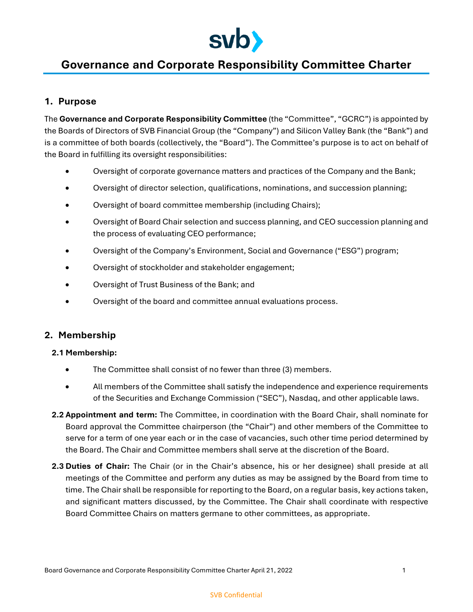

# **Governance and Corporate Responsibility Committee Charter**

## **1. Purpose**

The **Governance and Corporate Responsibility Committee** (the "Committee", "GCRC") is appointed by the Boards of Directors of SVB Financial Group (the "Company") and Silicon Valley Bank (the "Bank") and is a committee of both boards (collectively, the "Board"). The Committee's purpose is to act on behalf of the Board in fulfilling its oversight responsibilities:

- Oversight of corporate governance matters and practices of the Company and the Bank;
- Oversight of director selection, qualifications, nominations, and succession planning;
- Oversight of board committee membership (including Chairs);
- Oversight of Board Chair selection and success planning, and CEO succession planning and the process of evaluating CEO performance;
- Oversight of the Company's Environment, Social and Governance ("ESG") program;
- Oversight of stockholder and stakeholder engagement;
- Oversight of Trust Business of the Bank; and
- Oversight of the board and committee annual evaluations process.

## **2. Membership**

## **2.1 Membership:**

- The Committee shall consist of no fewer than three (3) members.
- All members of the Committee shall satisfy the independence and experience requirements of the Securities and Exchange Commission ("SEC"), Nasdaq, and other applicable laws.
- **2.2 Appointment and term:** The Committee, in coordination with the Board Chair, shall nominate for Board approval the Committee chairperson (the "Chair") and other members of the Committee to serve for a term of one year each or in the case of vacancies, such other time period determined by the Board. The Chair and Committee members shall serve at the discretion of the Board.
- **2.3 Duties of Chair:** The Chair (or in the Chair's absence, his or her designee) shall preside at all meetings of the Committee and perform any duties as may be assigned by the Board from time to time. The Chair shall be responsible for reporting to the Board, on a regular basis, key actions taken, and significant matters discussed, by the Committee. The Chair shall coordinate with respective Board Committee Chairs on matters germane to other committees, as appropriate.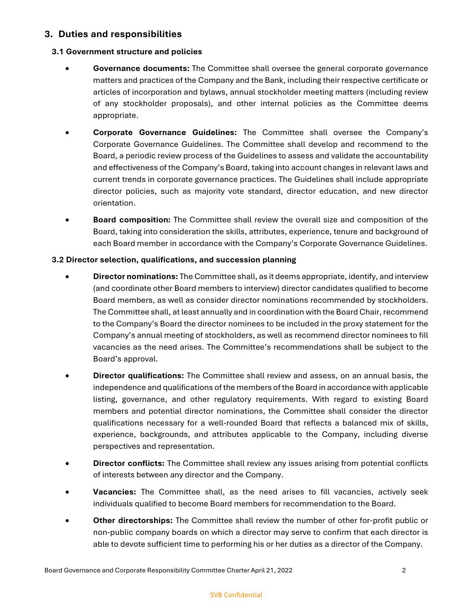## **3. Duties and responsibilities**

## **3.1 Government structure and policies**

- **Governance documents:** The Committee shall oversee the general corporate governance matters and practices of the Company and the Bank, including their respective certificate or articles of incorporation and bylaws, annual stockholder meeting matters (including review of any stockholder proposals), and other internal policies as the Committee deems appropriate.
- **Corporate Governance Guidelines:** The Committee shall oversee the Company's Corporate Governance Guidelines. The Committee shall develop and recommend to the Board, a periodic review process of the Guidelines to assess and validate the accountability and effectiveness of the Company's Board, taking into account changes in relevant laws and current trends in corporate governance practices. The Guidelines shall include appropriate director policies, such as majority vote standard, director education, and new director orientation.
- **Board composition:** The Committee shall review the overall size and composition of the Board, taking into consideration the skills, attributes, experience, tenure and background of each Board member in accordance with the Company's Corporate Governance Guidelines.

## **3.2 Director selection, qualifications, and succession planning**

- **Director nominations:** The Committee shall, as it deems appropriate, identify, and interview (and coordinate other Board members to interview) director candidates qualified to become Board members, as well as consider director nominations recommended by stockholders. The Committee shall, at least annually and in coordination with the Board Chair, recommend to the Company's Board the director nominees to be included in the proxy statement for the Company's annual meeting of stockholders, as well as recommend director nominees to fill vacancies as the need arises. The Committee's recommendations shall be subject to the Board's approval.
- **Director qualifications:** The Committee shall review and assess, on an annual basis, the independence and qualifications of the members of the Board in accordance with applicable listing, governance, and other regulatory requirements. With regard to existing Board members and potential director nominations, the Committee shall consider the director qualifications necessary for a well-rounded Board that reflects a balanced mix of skills, experience, backgrounds, and attributes applicable to the Company, including diverse perspectives and representation.
- **Director conflicts:** The Committee shall review any issues arising from potential conflicts of interests between any director and the Company.
- **Vacancies:** The Committee shall, as the need arises to fill vacancies, actively seek individuals qualified to become Board members for recommendation to the Board.
- **Other directorships:** The Committee shall review the number of other for-profit public or non-public company boards on which a director may serve to confirm that each director is able to devote sufficient time to performing his or her duties as a director of the Company.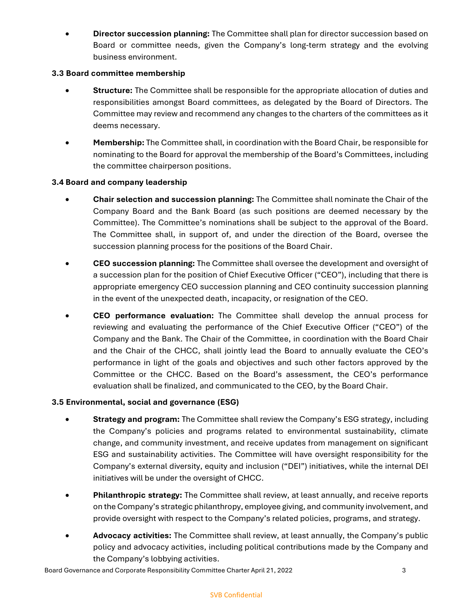**Director succession planning:** The Committee shall plan for director succession based on Board or committee needs, given the Company's long-term strategy and the evolving business environment.

## **3.3 Board committee membership**

- **Structure:** The Committee shall be responsible for the appropriate allocation of duties and responsibilities amongst Board committees, as delegated by the Board of Directors. The Committee may review and recommend any changes to the charters of the committees as it deems necessary.
- **Membership:** The Committee shall, in coordination with the Board Chair, be responsible for nominating to the Board for approval the membership of the Board's Committees, including the committee chairperson positions.

## **3.4 Board and company leadership**

- **Chair selection and succession planning:** The Committee shall nominate the Chair of the Company Board and the Bank Board (as such positions are deemed necessary by the Committee). The Committee's nominations shall be subject to the approval of the Board. The Committee shall, in support of, and under the direction of the Board, oversee the succession planning process for the positions of the Board Chair.
- **CEO succession planning:** The Committee shall oversee the development and oversight of a succession plan for the position of Chief Executive Officer ("CEO"), including that there is appropriate emergency CEO succession planning and CEO continuity succession planning in the event of the unexpected death, incapacity, or resignation of the CEO.
- **CEO performance evaluation:** The Committee shall develop the annual process for reviewing and evaluating the performance of the Chief Executive Officer ("CEO") of the Company and the Bank. The Chair of the Committee, in coordination with the Board Chair and the Chair of the CHCC, shall jointly lead the Board to annually evaluate the CEO's performance in light of the goals and objectives and such other factors approved by the Committee or the CHCC. Based on the Board's assessment, the CEO's performance evaluation shall be finalized, and communicated to the CEO, by the Board Chair.

#### **3.5 Environmental, social and governance (ESG)**

- **Strategy and program:** The Committee shall review the Company's ESG strategy, including the Company's policies and programs related to environmental sustainability, climate change, and community investment, and receive updates from management on significant ESG and sustainability activities. The Committee will have oversight responsibility for the Company's external diversity, equity and inclusion ("DEI") initiatives, while the internal DEI initiatives will be under the oversight of CHCC.
- **Philanthropic strategy:** The Committee shall review, at least annually, and receive reports on the Company's strategic philanthropy, employee giving, and community involvement, and provide oversight with respect to the Company's related policies, programs, and strategy.
- **Advocacy activities:** The Committee shall review, at least annually, the Company's public policy and advocacy activities, including political contributions made by the Company and the Company's lobbying activities.

Board Governance and Corporate Responsibility Committee Charter April 21, 2022 3

#### SVB Confidential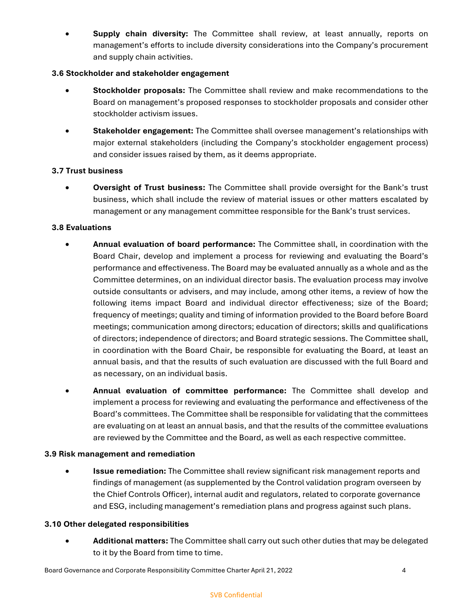**Supply chain diversity:** The Committee shall review, at least annually, reports on management's efforts to include diversity considerations into the Company's procurement and supply chain activities.

## **3.6 Stockholder and stakeholder engagement**

- **Stockholder proposals:** The Committee shall review and make recommendations to the Board on management's proposed responses to stockholder proposals and consider other stockholder activism issues.
- **Stakeholder engagement:** The Committee shall oversee management's relationships with major external stakeholders (including the Company's stockholder engagement process) and consider issues raised by them, as it deems appropriate.

## **3.7 Trust business**

 **Oversight of Trust business:** The Committee shall provide oversight for the Bank's trust business, which shall include the review of material issues or other matters escalated by management or any management committee responsible for the Bank's trust services.

#### **3.8 Evaluations**

- **Annual evaluation of board performance:** The Committee shall, in coordination with the Board Chair, develop and implement a process for reviewing and evaluating the Board's performance and effectiveness. The Board may be evaluated annually as a whole and as the Committee determines, on an individual director basis. The evaluation process may involve outside consultants or advisers, and may include, among other items, a review of how the following items impact Board and individual director effectiveness; size of the Board; frequency of meetings; quality and timing of information provided to the Board before Board meetings; communication among directors; education of directors; skills and qualifications of directors; independence of directors; and Board strategic sessions. The Committee shall, in coordination with the Board Chair, be responsible for evaluating the Board, at least an annual basis, and that the results of such evaluation are discussed with the full Board and as necessary, on an individual basis.
- **Annual evaluation of committee performance:** The Committee shall develop and implement a process for reviewing and evaluating the performance and effectiveness of the Board's committees. The Committee shall be responsible for validating that the committees are evaluating on at least an annual basis, and that the results of the committee evaluations are reviewed by the Committee and the Board, as well as each respective committee.

#### **3.9 Risk management and remediation**

**Issue remediation:** The Committee shall review significant risk management reports and findings of management (as supplemented by the Control validation program overseen by the Chief Controls Officer), internal audit and regulators, related to corporate governance and ESG, including management's remediation plans and progress against such plans.

#### **3.10 Other delegated responsibilities**

 **Additional matters:** The Committee shall carry out such other duties that may be delegated to it by the Board from time to time.

Board Governance and Corporate Responsibility Committee Charter April 21, 2022 4

#### SVB Confidential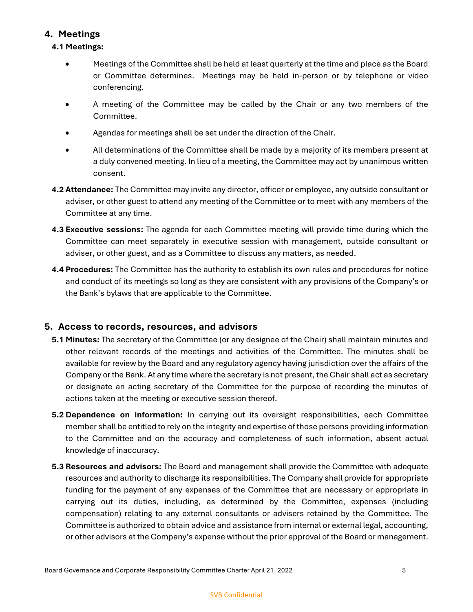# **4. Meetings**

# **4.1 Meetings:**

- Meetings of the Committee shall be held at least quarterly at the time and place as the Board or Committee determines. Meetings may be held in-person or by telephone or video conferencing.
- A meeting of the Committee may be called by the Chair or any two members of the Committee.
- Agendas for meetings shall be set under the direction of the Chair.
- All determinations of the Committee shall be made by a majority of its members present at a duly convened meeting. In lieu of a meeting, the Committee may act by unanimous written consent.
- **4.2 Attendance:** The Committee may invite any director, officer or employee, any outside consultant or adviser, or other guest to attend any meeting of the Committee or to meet with any members of the Committee at any time.
- **4.3 Executive sessions:** The agenda for each Committee meeting will provide time during which the Committee can meet separately in executive session with management, outside consultant or adviser, or other guest, and as a Committee to discuss any matters, as needed.
- **4.4 Procedures:** The Committee has the authority to establish its own rules and procedures for notice and conduct of its meetings so long as they are consistent with any provisions of the Company's or the Bank's bylaws that are applicable to the Committee.

# **5. Access to records, resources, and advisors**

- **5.1 Minutes:** The secretary of the Committee (or any designee of the Chair) shall maintain minutes and other relevant records of the meetings and activities of the Committee. The minutes shall be available for review by the Board and any regulatory agency having jurisdiction over the affairs of the Company or the Bank. At any time where the secretary is not present, the Chair shall act as secretary or designate an acting secretary of the Committee for the purpose of recording the minutes of actions taken at the meeting or executive session thereof.
- **5.2 Dependence on information:** In carrying out its oversight responsibilities, each Committee member shall be entitled to rely on the integrity and expertise of those persons providing information to the Committee and on the accuracy and completeness of such information, absent actual knowledge of inaccuracy.
- **5.3 Resources and advisors:** The Board and management shall provide the Committee with adequate resources and authority to discharge its responsibilities. The Company shall provide for appropriate funding for the payment of any expenses of the Committee that are necessary or appropriate in carrying out its duties, including, as determined by the Committee, expenses (including compensation) relating to any external consultants or advisers retained by the Committee. The Committee is authorized to obtain advice and assistance from internal or external legal, accounting, or other advisors at the Company's expense without the prior approval of the Board or management.